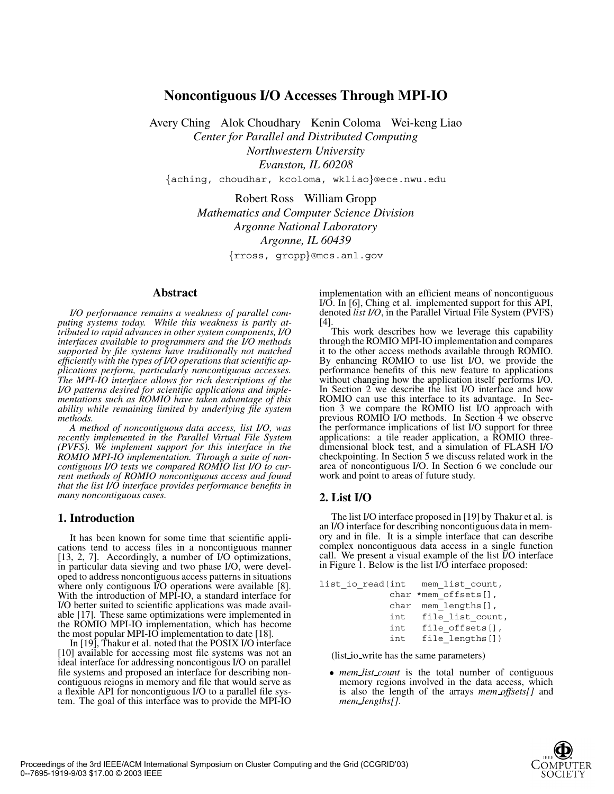# **Noncontiguous I/O Accesses Through MPI-IO**

Avery Ching Alok Choudhary Kenin Coloma Wei-keng Liao *Center for Parallel and Distributed Computing Northwestern University Evanston, IL 60208*

{aching, choudhar, kcoloma, wkliao}@ece.nwu.edu

Robert Ross William Gropp *Mathematics and Computer Science Division Argonne National Laboratory Argonne, IL 60439*

 $\{rross, group\}$ @mcs.anl.gov

### **Abstract**

*I/O performance remains a weakness of parallel computing systems today. While this weakness is partly attributed to rapid advances in other system components, I/O interfaces available to programmers and the I/O methods supported by file systems have traditionally not matched efficiently with the types of I/O operations that scientific applications perform, particularly noncontiguous accesses. The MPI-IO interface allows for rich descriptions of the I/O patterns desired for scientific applications and implementations such as ROMIO have taken advantage of this ability while remaining limited by underlying file system methods.*

*A method of noncontiguous data access, list I/O, was recently implemented in the Parallel Virtual File System (PVFS). We implement support for this interface in the ROMIO MPI-IO implementation. Through a suite of noncontiguous I/O tests we compared ROMIO list I/O to current methods of ROMIO noncontiguous access and found that the list I/O interface provides performance benefits in many noncontiguous cases.*

### **1. Introduction**

It has been known for some time that scientific applications tend to access files in a noncontiguous manner [13, 2, 7]. Accordingly, a number of I/O optimizations, in particular data sieving and two phase I/O, were developed to address noncontiguous access patterns in situations where only contiguous I/O operations were available [8]. With the introduction of MPI-IO, a standard interface for I/O better suited to scientific applications was made available [17]. These same optimizations were implemented in the ROMIO MPI-IO implementation, which has become the most popular MPI-IO implementation to date [18].

In [19], Thakur et al. noted that the POSIX I/O interface [10] available for accessing most file systems was not an ideal interface for addressing noncontigous I/O on parallel file systems and proposed an interface for describing noncontiguous reiogns in memory and file that would serve as a flexible API for noncontiguous I/O to a parallel file system. The goal of this interface was to provide the MPI-IO

implementation with an efficient means of noncontiguous I/O. In [6], Ching et al. implemented support for this API, denoted *list I/O*, in the Parallel Virtual File System (PVFS) [4].

This work describes how we leverage this capability through the ROMIO MPI-IO implementation and compares it to the other access methods available through ROMIO. By enhancing ROMIO to use list I/O, we provide the performance benefits of this new feature to applications without changing how the application itself performs I/O. In Section 2 we describe the list I/O interface and how ROMIO can use this interface to its advantage. In Section 3 we compare the ROMIO list I/O approach with previous ROMIO I/O methods. In Section 4 we observe the performance implications of list I/O support for three applications: a tile reader application, a ROMIO threedimensional block test, and a simulation of FLASH I/O checkpointing. In Section 5 we discuss related work in the area of noncontiguous I/O. In Section 6 we conclude our work and point to areas of future study.

### **2. List I/O**

The list I/O interface proposed in [19] by Thakur et al. is an I/O interface for describing noncontiguous data in memory and in file. It is a simple interface that can describe complex noncontiguous data access in a single function call. We present a visual example of the list I/O interface in Figure 1. Below is the list I/O interface proposed:

| list io read(int mem list count, |                                       |
|----------------------------------|---------------------------------------|
|                                  | char *mem offsets[],                  |
|                                  | char mem lengths [],                  |
| int                              | file list count,                      |
| int                              | file offsets[],                       |
| int                              | file $l$ enqths $\lceil \cdot \rceil$ |

(list io write has the same parameters)

• *mem\_list\_count* is the total number of contiguous memory regions involved in the data access, which is also the length of the arrays *mem offsets[]* and *mem lengths[]*.

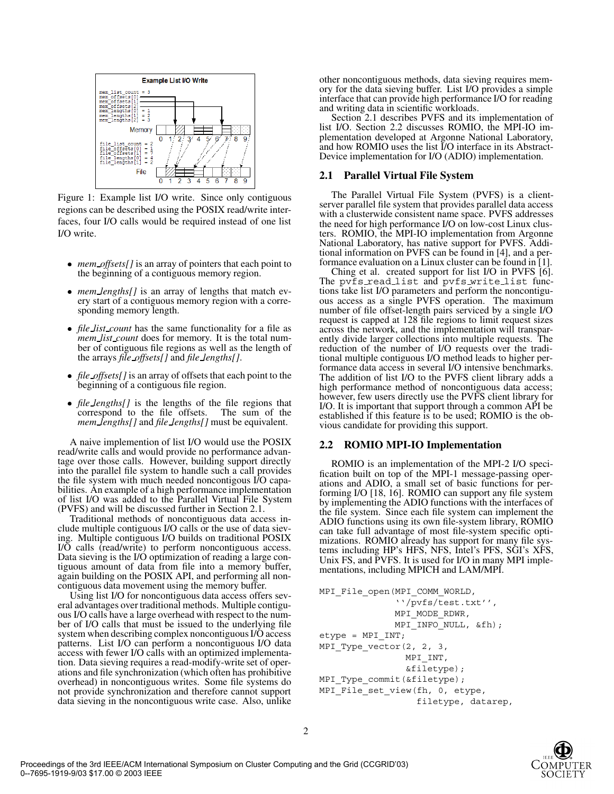

Figure 1: Example list I/O write. Since only contiguous regions can be described using the POSIX read/write interfaces, four I/O calls would be required instead of one list I/O write.

- *mem offsets[]* is an array of pointers that each point to the beginning of a contiguous memory region.
- *mem\_lengths[]* is an array of lengths that match every start of a contiguous memory region with a corresponding memory length.
- *file list count* has the same functionality for a file as *mem list count* does for memory. It is the total number of contiguous file regions as well as the length of the arrays *file offsets[]* and *file lengths[]*.
- *file offsets[]* is an array of offsets that each point to the beginning of a contiguous file region.
- *file lengths[]* is the lengths of the file regions that correspond to the file offsets. The sum of the *mem lengths[]* and *file lengths[]* must be equivalent.

A naive implemention of list I/O would use the POSIX read/write calls and would provide no performance advantage over those calls. However, building support directly into the parallel file system to handle such a call provides the file system with much needed noncontigous I/O capabilities. An example of a high performance implementation of list I/O was added to the Parallel Virtual File System (PVFS) and will be discussed further in Section 2.1.

Traditional methods of noncontiguous data access include multiple contiguous I/O calls or the use of data sieving. Multiple contiguous I/O builds on traditional POSIX I/O calls (read/write) to perform noncontiguous access. Data sieving is the I/O optimization of reading a large contiguous amount of data from file into a memory buffer, again building on the POSIX API, and performing all noncontiguous data movement using the memory buffer.

Using list I/O for noncontiguous data access offers several advantages over traditional methods. Multiple contiguous I/O calls have a large overhead with respect to the number of I/O calls that must be issued to the underlying file system when describing complex noncontiguous I/O access patterns. List I/O can perform a noncontiguous I/O data access with fewer I/O calls with an optimized implementation. Data sieving requires a read-modify-write set of operations and file synchronization (which often has prohibitive overhead) in noncontiguous writes. Some file systems do not provide synchronization and therefore cannot support data sieving in the noncontiguous write case. Also, unlike other noncontiguous methods, data sieving requires memory for the data sieving buffer. List I/O provides a simple interface that can provide high performance I/O for reading and writing data in scientific workloads.

Section 2.1 describes PVFS and its implementation of list I/O. Section 2.2 discusses ROMIO, the MPI-IO implementation developed at Argonne National Laboratory, and how ROMIO uses the list I/O interface in its Abstract-Device implementation for I/O (ADIO) implementation.

#### **2.1 Parallel Virtual File System**

The Parallel Virtual File System (PVFS) is a clientserver parallel file system that provides parallel data access with a clusterwide consistent name space. PVFS addresses the need for high performance I/O on low-cost Linux clusters. ROMIO, the MPI-IO implementation from Argonne National Laboratory, has native support for PVFS. Additional information on PVFS can be found in [4], and a performance evaluation on a Linux cluster can be found in [1].

Ching et al. created support for list I/O in PVFS [6]. The pvfs read list and pvfs write list functions take list I/O parameters and perform the noncontiguous access as a single PVFS operation. The maximum number of file offset-length pairs serviced by a single I/O request is capped at 128 file regions to limit request sizes across the network, and the implementation will transparently divide larger collections into multiple requests. The reduction of the number of I/O requests over the traditional multiple contiguous I/O method leads to higher performance data access in several I/O intensive benchmarks. The addition of list I/O to the PVFS client library adds a high performance method of noncontiguous data access; however, few users directly use the PVFS client library for I/O. It is important that support through a common API be established if this feature is to be used; ROMIO is the obvious candidate for providing this support.

#### **2.2 ROMIO MPI-IO Implementation**

ROMIO is an implementation of the MPI-2 I/O specification built on top of the MPI-1 message-passing operations and ADIO, a small set of basic functions for performing I/O [18, 16]. ROMIO can support any file system by implementing the ADIO functions with the interfaces of the file system. Since each file system can implement the ADIO functions using its own file-system library, ROMIO can take full advantage of most file-system specific optimizations. ROMIO already has support for many file systems including HP's HFS, NFS, Intel's PFS, SGI's XFS, Unix FS, and PVFS. It is used for I/O in many MPI implementations, including MPICH and LAM/MPI.

```
MPI_File_open(MPI_COMM_WORLD,
              ''/pvfs/test.txt'',
              MPI_MODE_RDWR,
              MPI INFO NULL, &fh);
etype = MPI_INT;
MPI_Type_vector(2, 2, 3,
                MPI_INT,
                &filetype);
MPI Type commit(&filetype);
MPI File set view(fh, 0, etype,
                  filetype, datarep,
```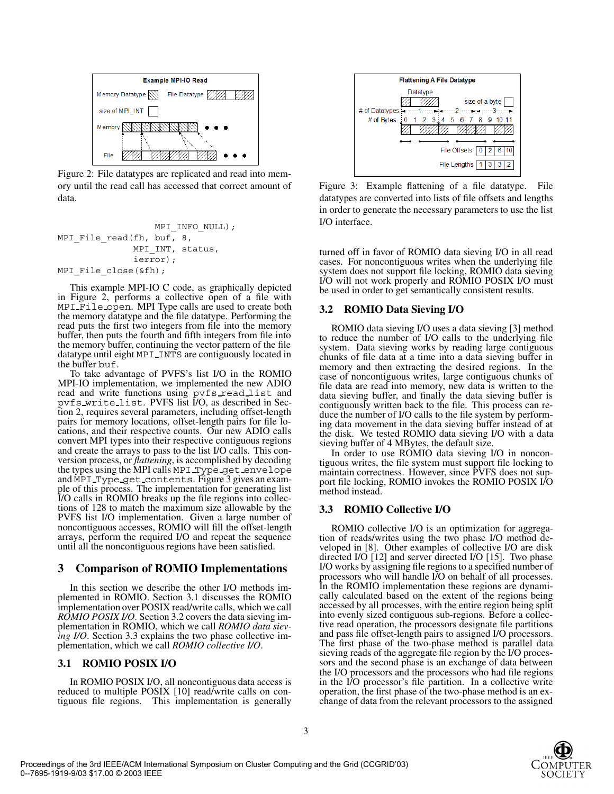

Figure 2: File datatypes are replicated and read into memory until the read call has accessed that correct amount of data.

|  |                               |                  | MPI INFO NULL); |  |
|--|-------------------------------|------------------|-----------------|--|
|  | MPI File read(fh, buf, 8,     |                  |                 |  |
|  |                               | MPI INT, status, |                 |  |
|  |                               | ierror);         |                 |  |
|  | MPI File close $(\&$ fh $)$ ; |                  |                 |  |

This example MPI-IO C code, as graphically depicted in Figure 2, performs a collective open of a file with MPI File open. MPI Type calls are used to create both the memory datatype and the file datatype. Performing the read puts the first two integers from file into the memory buffer, then puts the fourth and fifth integers from file into the memory buffer, continuing the vector pattern of the file datatype until eight MPI INTS are contiguously located in

the buffer buf. To take advantage of PVFS's list I/O in the ROMIO MPI-IO implementation, we implemented the new ADIO read and write functions using  $p\nu$ fs read list and pvfs write list. PVFS list I/O, as described in Section 2, requires several parameters, including offset-length pairs for memory locations, offset-length pairs for file locations, and their respective counts. Our new ADIO calls convert MPI types into their respective contiguous regions and create the arrays to pass to the list I/O calls. This conversion process, or *flattening*, is accomplished by decoding the types using the MPI calls MPI Type get envelope and MPI Type get contents. Figure 3 gives an example of this process. The implementation for generating list I/O calls in ROMIO breaks up the file regions into collections of 128 to match the maximum size allowable by the PVFS list I/O implementation. Given a large number of noncontiguous accesses, ROMIO will fill the offset-length arrays, perform the required I/O and repeat the sequence until all the noncontiguous regions have been satisfied.

### **3 Comparison of ROMIO Implementations**

In this section we describe the other I/O methods implemented in ROMIO. Section 3.1 discusses the ROMIO implementation over POSIX read/write calls, which we call *ROMIO POSIX I/O*. Section 3.2 covers the data sieving implementation in ROMIO, which we call *ROMIO data sieving I/O*. Section 3.3 explains the two phase collective implementation, which we call *ROMIO collective I/O*.

#### **3.1 ROMIO POSIX I/O**

In ROMIO POSIX I/O, all noncontiguous data access is reduced to multiple POSIX [10] read/write calls on contiguous file regions. This implementation is generally



Figure 3: Example flattening of a file datatype. File datatypes are converted into lists of file offsets and lengths in order to generate the necessary parameters to use the list I/O interface.

turned off in favor of ROMIO data sieving I/O in all read cases. For noncontiguous writes when the underlying file system does not support file locking, ROMIO data sieving I/O will not work properly and ROMIO POSIX I/O must be used in order to get semantically consistent results.

#### **3.2 ROMIO Data Sieving I/O**

ROMIO data sieving I/O uses a data sieving [3] method to reduce the number of I/O calls to the underlying file system. Data sieving works by reading large contiguous chunks of file data at a time into a data sieving buffer in memory and then extracting the desired regions. In the case of noncontiguous writes, large contiguous chunks of file data are read into memory, new data is written to the data sieving buffer, and finally the data sieving buffer is contiguously written back to the file. This process can reduce the number of I/O calls to the file system by performing data movement in the data sieving buffer instead of at the disk. We tested ROMIO data sieving I/O with a data sieving buffer of 4 MBytes, the default size.

In order to use ROMIO data sieving I/O in noncontiguous writes, the file system must support file locking to maintain correctness. However, since PVFS does not support file locking, ROMIO invokes the ROMIO POSIX I/O method instead.

### **3.3 ROMIO Collective I/O**

ROMIO collective I/O is an optimization for aggregation of reads/writes using the two phase I/O method developed in [8]. Other examples of collective I/O are disk directed I/O [12] and server directed I/O [15]. Two phase I/O works by assigning file regions to a specified number of processors who will handle I/O on behalf of all processes. In the ROMIO implementation these regions are dynamically calculated based on the extent of the regions being accessed by all processes, with the entire region being split into evenly sized contiguous sub-regions. Before a collective read operation, the processors designate file partitions and pass file offset-length pairs to assigned I/O processors. The first phase of the two-phase method is parallel data sieving reads of the aggregate file region by the I/O processors and the second phase is an exchange of data between the I/O processors and the processors who had file regions in the I/O processor's file partition. In a collective write operation, the first phase of the two-phase method is an exchange of data from the relevant processors to the assigned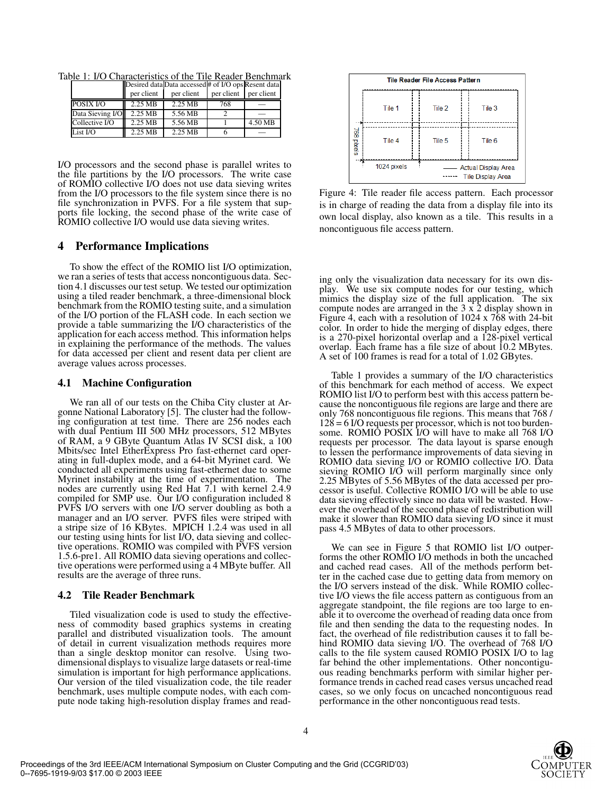Table 1: I/O Characteristics of the Tile Reader Benchmark

|                  |            | Desired data Data accessed# of I/O ops Resent data |            |            |
|------------------|------------|----------------------------------------------------|------------|------------|
|                  | per client | per client                                         | per client | per client |
| POSIX I/O        | $2.25$ MB  | 2.25 MB                                            | 768        |            |
| Data Sieving I/O | 2.25 MB    | 5.56 MB                                            |            |            |
| Collective I/O   | 2.25 MB    | 5.56 MB                                            |            | 4.50 MB    |
| $List$ $VO$      | 2.25 MB    | 2.25 MB                                            |            |            |

I/O processors and the second phase is parallel writes to the file partitions by the I/O processors. The write case of ROMIO collective I/O does not use data sieving writes from the I/O processors to the file system since there is no file synchronization in PVFS. For a file system that supports file locking, the second phase of the write case of ROMIO collective I/O would use data sieving writes.

#### **4 Performance Implications**

To show the effect of the ROMIO list I/O optimization, we ran a series of tests that access noncontiguous data. Section 4.1 discusses our test setup. We tested our optimization using a tiled reader benchmark, a three-dimensional block benchmark from the ROMIO testing suite, and a simulation of the I/O portion of the FLASH code. In each section we provide a table summarizing the I/O characteristics of the application for each access method. This information helps in explaining the performance of the methods. The values for data accessed per client and resent data per client are average values across processes.

#### **4.1 Machine Configuration**

We ran all of our tests on the Chiba City cluster at Argonne National Laboratory [5]. The cluster had the following configuration at test time. There are 256 nodes each with dual Pentium III 500 MHz processors, 512 MBytes of RAM, a 9 GByte Quantum Atlas IV SCSI disk, a 100 Mbits/sec Intel EtherExpress Pro fast-ethernet card operating in full-duplex mode, and a 64-bit Myrinet card. We conducted all experiments using fast-ethernet due to some Myrinet instability at the time of experimentation. The nodes are currently using Red Hat 7.1 with kernel 2.4.9 compiled for SMP use. Our I/O configuration included 8 PVFS I/O servers with one I/O server doubling as both a manager and an I/O server. PVFS files were striped with a stripe size of 16 KBytes. MPICH 1.2.4 was used in all our testing using hints for list I/O, data sieving and collective operations. ROMIO was compiled with PVFS version 1.5.6-pre1. All ROMIO data sieving operations and collective operations were performed using a 4 MByte buffer. All results are the average of three runs.

#### **4.2 Tile Reader Benchmark**

Tiled visualization code is used to study the effectiveness of commodity based graphics systems in creating parallel and distributed visualization tools. The amount of detail in current visualization methods requires more than a single desktop monitor can resolve. Using twodimensional displays to visualize large datasets or real-time simulation is important for high performance applications. Our version of the tiled visualization code, the tile reader benchmark, uses multiple compute nodes, with each compute node taking high-resolution display frames and read-



Figure 4: Tile reader file access pattern. Each processor is in charge of reading the data from a display file into its own local display, also known as a tile. This results in a noncontiguous file access pattern.

ing only the visualization data necessary for its own display. We use six compute nodes for our testing, which mimics the display size of the full application. The six compute nodes are arranged in the  $3 \times 2$  display shown in Figure 4, each with a resolution of 1024 x 768 with 24-bit color. In order to hide the merging of display edges, there is a 270-pixel horizontal overlap and a 128-pixel vertical overlap. Each frame has a file size of about 10.2 MBytes. A set of 100 frames is read for a total of 1.02 GBytes.

Table 1 provides a summary of the I/O characteristics of this benchmark for each method of access. We expect ROMIO list I/O to perform best with this access pattern because the noncontiguous file regions are large and there are only 768 noncontiguous file regions. This means that 768 /  $128 = 6$  I/O requests per processor, which is not too burdensome. ROMIO POSIX I/O will have to make all 768 I/O requests per processor. The data layout is sparse enough to lessen the performance improvements of data sieving in ROMIO data sieving I/O or ROMIO collective I/O. Data sieving ROMIO I/O will perform marginally since only 2.25 MBytes of 5.56 MBytes of the data accessed per processor is useful. Collective ROMIO I/O will be able to use data sieving effectively since no data will be wasted. However the overhead of the second phase of redistribution will make it slower than ROMIO data sieving I/O since it must pass 4.5 MBytes of data to other processors.

We can see in Figure 5 that ROMIO list I/O outperforms the other ROMIO I/O methods in both the uncached and cached read cases. All of the methods perform better in the cached case due to getting data from memory on the I/O servers instead of the disk. While ROMIO collective I/O views the file access pattern as contiguous from an aggregate standpoint, the file regions are too large to enable it to overcome the overhead of reading data once from file and then sending the data to the requesting nodes. In fact, the overhead of file redistribution causes it to fall behind ROMIO data sieving I/O. The overhead of 768 I/O calls to the file system caused ROMIO POSIX I/O to lag far behind the other implementations. Other noncontiguous reading benchmarks perform with similar higher performance trends in cached read cases versus uncached read cases, so we only focus on uncached noncontiguous read performance in the other noncontiguous read tests.

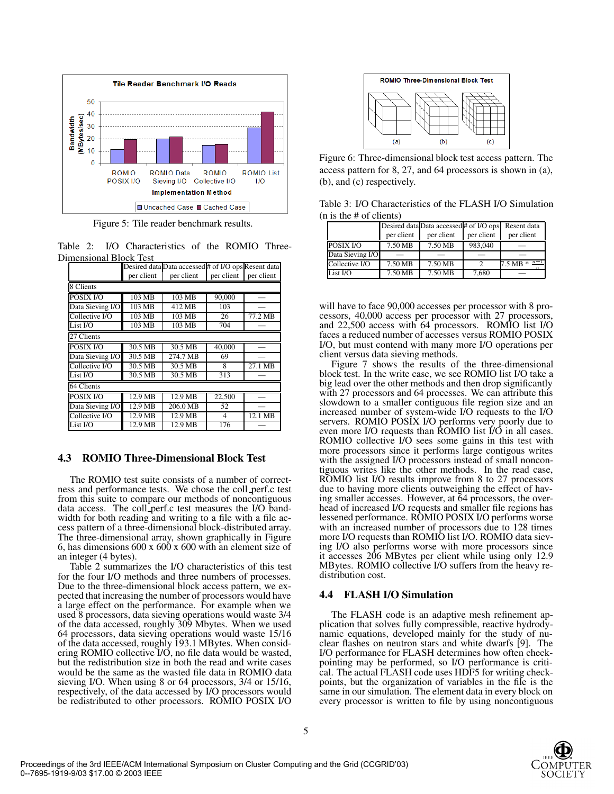

Figure 5: Tile reader benchmark results.

Table 2: I/O Characteristics of the ROMIO Three-Dimensional Block Test

|                      |            | Desired data Data accessed# of I/O ops Resent data |                |            |
|----------------------|------------|----------------------------------------------------|----------------|------------|
|                      | per client | per client                                         | per client     | per client |
| 8 Clients            |            |                                                    |                |            |
| POSIX <sub>I/O</sub> | 103 MB     | 103 MB                                             | 90,000         |            |
| Data Sieving I/O     | 103 MB     | 412 MB                                             | 103            |            |
| Collective I/O       | 103 MB     | 103 MB                                             | 26             | 77.2 MB    |
| List I/O             | 103 MB     | 103 MB                                             | 704            |            |
| 27 Clients           |            |                                                    |                |            |
| POSIX I/O            | 30.5 MB    | 30.5 MB                                            | 40,000         |            |
| Data Sieving I/O     | 30.5 MB    | 274.7 MB                                           | 69             |            |
| Collective I/O       | 30.5 MB    | 30.5 MB                                            | 8              | 27.1 MB    |
| List I/O             | 30.5 MB    | $30.5 \overline{\rm MB}$                           | 313            |            |
| 64 Clients           |            |                                                    |                |            |
| POSIX I/O            | 12.9 MB    | 12.9 MB                                            | 22,500         |            |
| Data Sieving I/O     | 12.9 MB    | 206.0 MB                                           | 52             |            |
| Collective I/O       | 12.9 MB    | 12.9 MB                                            | $\overline{4}$ | 12.1 MB    |
| List I/O             | 12.9 MB    | 12.9 MB                                            | 176            |            |

#### **4.3 ROMIO Three-Dimensional Block Test**

The ROMIO test suite consists of a number of correctness and performance tests. We chose the coll perf.c test from this suite to compare our methods of noncontiguous data access. The coll perf.c test measures the I/O bandwidth for both reading and writing to a file with a file access pattern of a three-dimensional block-distributed array. The three-dimensional array, shown graphically in Figure 6, has dimensions 600 x 600 x 600 with an element size of an integer (4 bytes).

Table 2 summarizes the I/O characteristics of this test for the four I/O methods and three numbers of processes. Due to the three-dimensional block access pattern, we expected that increasing the number of processors would have a large effect on the performance. For example when we used 8 processors, data sieving operations would waste 3/4 of the data accessed, roughly 309 Mbytes. When we used 64 processors, data sieving operations would waste 15/16 of the data accessed, roughly 193.1 MBytes. When considering ROMIO collective I/O, no file data would be wasted, but the redistribution size in both the read and write cases would be the same as the wasted file data in ROMIO data sieving I/O. When using 8 or 64 processors, 3/4 or 15/16, respectively, of the data accessed by I/O processors would be redistributed to other processors. ROMIO POSIX I/O



Figure 6: Three-dimensional block test access pattern. The access pattern for 8, 27, and 64 processors is shown in (a), (b), and (c) respectively.

Table 3: I/O Characteristics of the FLASH I/O Simulation (n is the # of clients)

|                  |            | Desired data Data accessed# of I/O ops |            | Resent data                |
|------------------|------------|----------------------------------------|------------|----------------------------|
|                  | per client | per client                             | per client | per client                 |
| POSIX I/O        | 7.50 MB    | 7.50 MB                                | 983,040    |                            |
| Data Sieving I/O |            |                                        |            |                            |
| Collective I/O   | 7.50 MB    | 7.50 MB                                |            | 7.5 MB $*$ $\frac{n-1}{n}$ |
| List I/O         | 7.50 MB    | 7.50 MB                                | 7,680      |                            |

will have to face 90,000 accesses per processor with 8 processors, 40,000 access per processor with 27 processors, and 22,500 access with 64 processors. ROMIO list I/O faces a reduced number of accesses versus ROMIO POSIX I/O, but must contend with many more I/O operations per client versus data sieving methods.

Figure 7 shows the results of the three-dimensional block test. In the write case, we see ROMIO list I/O take a big lead over the other methods and then drop significantly with 27 processors and 64 processes. We can attribute this slowdown to a smaller contiguous file region size and an increased number of system-wide I/O requests to the I/O servers. ROMIO POSIX I/O performs very poorly due to even more I/O requests than ROMIO list I/O in all cases. ROMIO collective I/O sees some gains in this test with more processors since it performs large contigous writes with the assigned I/O processors instead of small noncontiguous writes like the other methods. In the read case, ROMIO list I/O results improve from 8 to 27 processors due to having more clients outweighing the effect of having smaller accesses. However, at 64 processors, the overhead of increased I/O requests and smaller file regions has lessened performance. ROMIO POSIX I/O performs worse with an increased number of processors due to 128 times more I/O requests than ROMIO list I/O. ROMIO data sieving I/O also performs worse with more processors since it accesses 206 MBytes per client while using only 12.9 MBytes. ROMIO collective I/O suffers from the heavy redistribution cost.

#### **4.4 FLASH I/O Simulation**

The FLASH code is an adaptive mesh refinement application that solves fully compressible, reactive hydrodynamic equations, developed mainly for the study of nuclear flashes on neutron stars and white dwarfs [9]. The I/O performance for FLASH determines how often checkpointing may be performed, so I/O performance is critical. The actual FLASH code uses HDF5 for writing checkpoints, but the organization of variables in the file is the same in our simulation. The element data in every block on every processor is written to file by using noncontiguous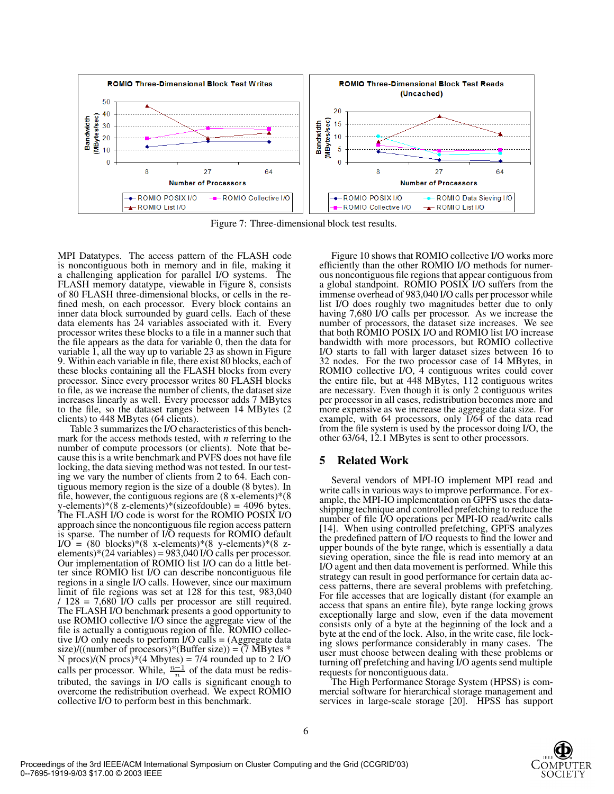

Figure 7: Three-dimensional block test results.

MPI Datatypes. The access pattern of the FLASH code is noncontiguous both in memory and in file, making it a challenging application for parallel I/O systems. The FLASH memory datatype, viewable in Figure 8, consists of 80 FLASH three-dimensional blocks, or cells in the refined mesh, on each processor. Every block contains an inner data block surrounded by guard cells. Each of these data elements has 24 variables associated with it. Every processor writes these blocks to a file in a manner such that the file appears as the data for variable 0, then the data for variable 1, all the way up to variable 23 as shown in Figure 9. Within each variable in file, there exist 80 blocks, each of these blocks containing all the FLASH blocks from every processor. Since every processor writes 80 FLASH blocks to file, as we increase the number of clients, the dataset size increases linearly as well. Every processor adds 7 MBytes to the file, so the dataset ranges between 14 MBytes (2 clients) to 448 MBytes (64 clients).

Table 3 summarizes the I/O characteristics of this benchmark for the access methods tested, with *n* referring to the number of compute processors (or clients). Note that because this is a write benchmark and PVFS does not have file locking, the data sieving method was not tested. In our testing we vary the number of clients from 2 to 64. Each contiguous memory region is the size of a double (8 bytes). In file, however, the contiguous regions are  $(8 \times$ -elements)\* $(8 \times$ y-elements)\*(8 z-elements)\*(sizeofdouble) = 4096 bytes. The FLASH I/O code is worst for the ROMIO POSIX I/O approach since the noncontiguous file region access pattern is sparse. The number of I/O requests for ROMIO default I/O =  $(80 \text{ blocks})*(8 \text{ x-elements})*(8 \text{ y-elements})*(8 \text{ z-}1)$ elements)\*(24 variables) =  $983,040$  I/O calls per processor. Our implementation of ROMIO list I/O can do a little better since ROMIO list I/O can describe noncontiguous file regions in a single I/O calls. However, since our maximum limit of file regions was set at 128 for this test, 983,040 / 128 = 7,680 I/O calls per processor are still required. The FLASH I/O benchmark presents a good opportunity to use ROMIO collective I/O since the aggregate view of the file is actually a contiguous region of file. ROMIO collective I/O only needs to perform I/O calls = (Aggregate data size)/((number of procesors)\*(Buffer size)) =  $(7 \text{ MBytes}^*)$ N procs)/(N procs)\*(4 Mbytes) = 7/4 rounded up to 2 I/O calls per processor. While,  $\frac{n-1}{n}$  of the data must be redistributed, the savings in I/O calls is significant enough to overcome the redistribution overhead. We expect ROMIO collective I/O to perform best in this benchmark.

Figure 10 shows that ROMIO collective I/O works more efficiently than the other ROMIO I/O methods for numerous noncontiguous file regions that appear contiguous from a global standpoint. ROMIO POSIX I/O suffers from the immense overhead of 983,040 I/O calls per processor while list I/O does roughly two magnitudes better due to only having 7,680 I/O calls per processor. As we increase the number of processors, the dataset size increases. We see that both ROMIO POSIX I/O and ROMIO list I/O increase bandwidth with more processors, but ROMIO collective I/O starts to fall with larger dataset sizes between 16 to 32 nodes. For the two processor case of 14 MBytes, in ROMIO collective I/O, 4 contiguous writes could cover the entire file, but at 448 MBytes, 112 contiguous writes are necessary. Even though it is only 2 contiguous writes per processor in all cases, redistribution becomes more and more expensive as we increase the aggregate data size. For example, with 64 processors, only 1/64 of the data read from the file system is used by the processor doing I/O, the other 63/64, 12.1 MBytes is sent to other processors.

### **5 Related Work**

Several vendors of MPI-IO implement MPI read and write calls in various ways to improve performance. For example, the MPI-IO implementation on GPFS uses the datashipping technique and controlled prefetching to reduce the number of file I/O operations per MPI-IO read/write calls [14]. When using controlled prefetching, GPFS analyzes the predefined pattern of I/O requests to find the lower and upper bounds of the byte range, which is essentially a data sieving operation, since the file is read into memory at an I/O agent and then data movement is performed. While this strategy can result in good performance for certain data access patterns, there are several problems with prefetching. For file accesses that are logically distant (for example an access that spans an entire file), byte range locking grows exceptionally large and slow, even if the data movement consists only of a byte at the beginning of the lock and a byte at the end of the lock. Also, in the write case, file locking slows performance considerably in many cases. The user must choose between dealing with these problems or turning off prefetching and having I/O agents send multiple requests for noncontiguous data.

The High Performance Storage System (HPSS) is commercial software for hierarchical storage management and services in large-scale storage [20]. HPSS has support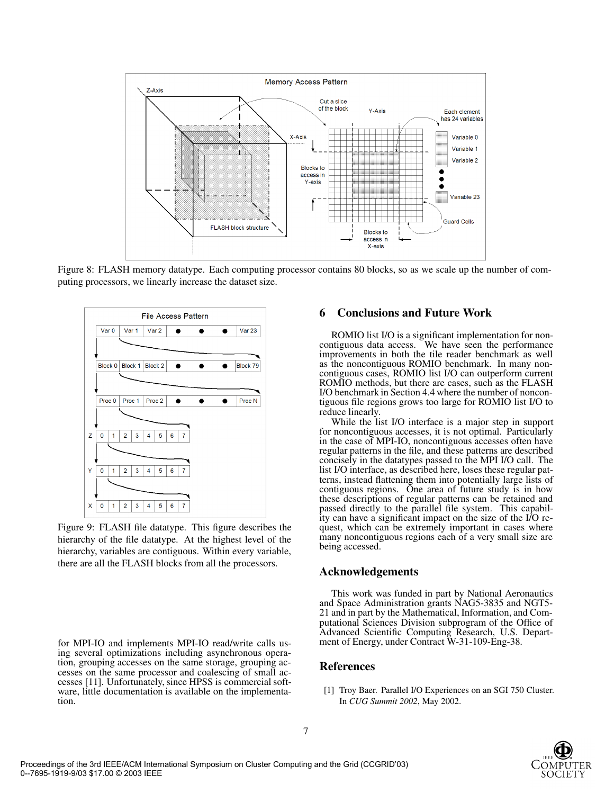

Figure 8: FLASH memory datatype. Each computing processor contains 80 blocks, so as we scale up the number of computing processors, we linearly increase the dataset size.



Figure 9: FLASH file datatype. This figure describes the hierarchy of the file datatype. At the highest level of the hierarchy, variables are contiguous. Within every variable, there are all the FLASH blocks from all the processors.

for MPI-IO and implements MPI-IO read/write calls using several optimizations including asynchronous operation, grouping accesses on the same storage, grouping accesses on the same processor and coalescing of small accesses [11]. Unfortunately, since HPSS is commercial software, little documentation is available on the implementation.

## **6 Conclusions and Future Work**

ROMIO list I/O is a significant implementation for noncontiguous data access. We have seen the performance improvements in both the tile reader benchmark as well as the noncontiguous ROMIO benchmark. In many noncontiguous cases, ROMIO list I/O can outperform current ROMIO methods, but there are cases, such as the FLASH I/O benchmark in Section 4.4 where the number of noncontiguous file regions grows too large for ROMIO list I/O to reduce linearly.

While the list I/O interface is a major step in support for noncontiguous accesses, it is not optimal. Particularly in the case of MPI-IO, noncontiguous accesses often have regular patterns in the file, and these patterns are described concisely in the datatypes passed to the MPI I/O call. The list I/O interface, as described here, loses these regular patterns, instead flattening them into potentially large lists of contiguous regions. One area of future study is in how these descriptions of regular patterns can be retained and passed directly to the parallel file system. This capability can have a significant impact on the size of the I/O request, which can be extremely important in cases where many noncontiguous regions each of a very small size are being accessed.

#### **Acknowledgements**

This work was funded in part by National Aeronautics and Space Administration grants NAG5-3835 and NGT5- 21 and in part by the Mathematical, Information, and Computational Sciences Division subprogram of the Office of Advanced Scientific Computing Research, U.S. Department of Energy, under Contract W-31-109-Eng-38.

#### **References**

[1] Troy Baer. Parallel I/O Experiences on an SGI 750 Cluster. In *CUG Summit 2002*, May 2002.